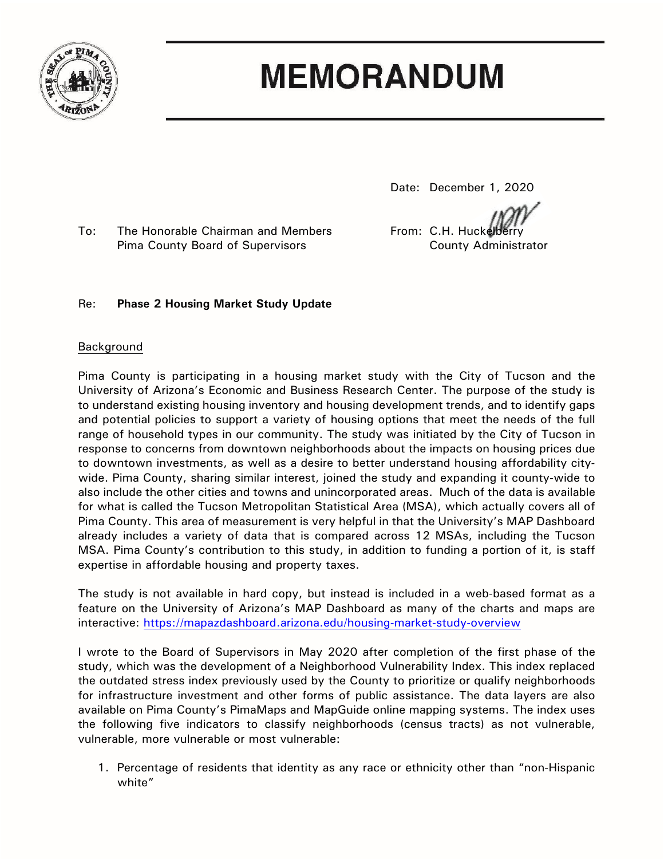

# **MEMORANDUM**

Date: December 1, 2020

To: The Honorable Chairman and Members From: C.H. Huckelberry Pima County Board of Supervisors County Administrator

## Re: **Phase 2 Housing Market Study Update**

### Background

Pima County is participating in a housing market study with the City of Tucson and the University of Arizona's Economic and Business Research Center. The purpose of the study is to understand existing housing inventory and housing development trends, and to identify gaps and potential policies to support a variety of housing options that meet the needs of the full range of household types in our community. The study was initiated by the City of Tucson in response to concerns from downtown neighborhoods about the impacts on housing prices due to downtown investments, as well as a desire to better understand housing affordability citywide. Pima County, sharing similar interest, joined the study and expanding it county-wide to also include the other cities and towns and unincorporated areas. Much of the data is available for what is called the Tucson Metropolitan Statistical Area (MSA), which actually covers all of Pima County. This area of measurement is very helpful in that the University's MAP Dashboard already includes a variety of data that is compared across 12 MSAs, including the Tucson MSA. Pima County's contribution to this study, in addition to funding a portion of it, is staff expertise in affordable housing and property taxes.

The study is not available in hard copy, but instead is included in a web-based format as a feature on the University of Arizona's MAP Dashboard as many of the charts and maps are interactive:<https://mapazdashboard.arizona.edu/housing-market-study-overview>

I wrote to the Board of Supervisors in May 2020 after completion of the first phase of the study, which was the development of a Neighborhood Vulnerability Index. This index replaced the outdated stress index previously used by the County to prioritize or qualify neighborhoods for infrastructure investment and other forms of public assistance. The data layers are also available on Pima County's PimaMaps and MapGuide online mapping systems. The index uses the following five indicators to classify neighborhoods (census tracts) as not vulnerable, vulnerable, more vulnerable or most vulnerable:

1. Percentage of residents that identity as any race or ethnicity other than "non-Hispanic white"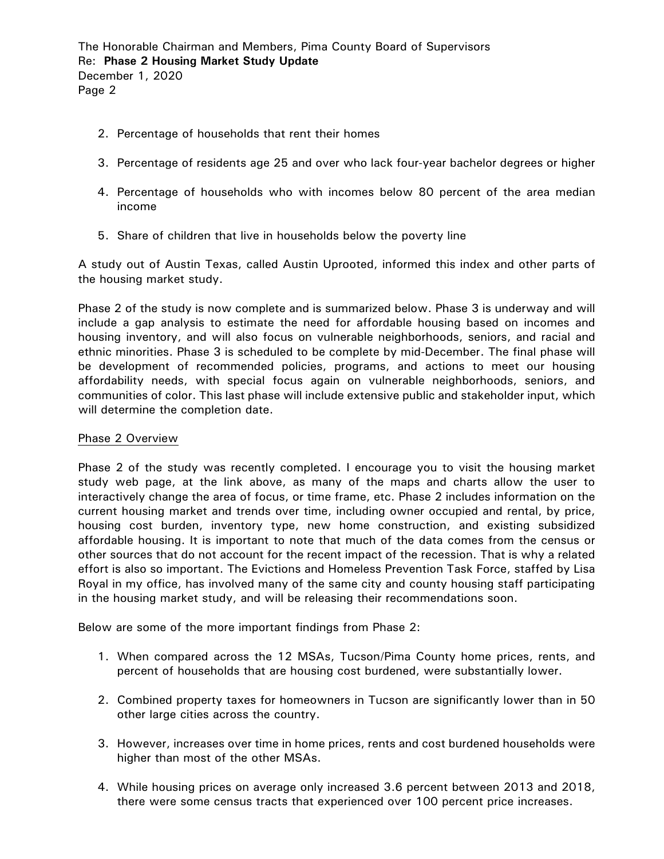- 2. Percentage of households that rent their homes
- 3. Percentage of residents age 25 and over who lack four-year bachelor degrees or higher
- 4. Percentage of households who with incomes below 80 percent of the area median income
- 5. Share of children that live in households below the poverty line

A study out of Austin Texas, called Austin Uprooted, informed this index and other parts of the housing market study.

Phase 2 of the study is now complete and is summarized below. Phase 3 is underway and will include a gap analysis to estimate the need for affordable housing based on incomes and housing inventory, and will also focus on vulnerable neighborhoods, seniors, and racial and ethnic minorities. Phase 3 is scheduled to be complete by mid-December. The final phase will be development of recommended policies, programs, and actions to meet our housing affordability needs, with special focus again on vulnerable neighborhoods, seniors, and communities of color. This last phase will include extensive public and stakeholder input, which will determine the completion date.

### Phase 2 Overview

Phase 2 of the study was recently completed. I encourage you to visit the housing market study web page, at the link above, as many of the maps and charts allow the user to interactively change the area of focus, or time frame, etc. Phase 2 includes information on the current housing market and trends over time, including owner occupied and rental, by price, housing cost burden, inventory type, new home construction, and existing subsidized affordable housing. It is important to note that much of the data comes from the census or other sources that do not account for the recent impact of the recession. That is why a related effort is also so important. The Evictions and Homeless Prevention Task Force, staffed by Lisa Royal in my office, has involved many of the same city and county housing staff participating in the housing market study, and will be releasing their recommendations soon.

Below are some of the more important findings from Phase 2:

- 1. When compared across the 12 MSAs, Tucson/Pima County home prices, rents, and percent of households that are housing cost burdened, were substantially lower.
- 2. Combined property taxes for homeowners in Tucson are significantly lower than in 50 other large cities across the country.
- 3. However, increases over time in home prices, rents and cost burdened households were higher than most of the other MSAs.
- 4. While housing prices on average only increased 3.6 percent between 2013 and 2018, there were some census tracts that experienced over 100 percent price increases.